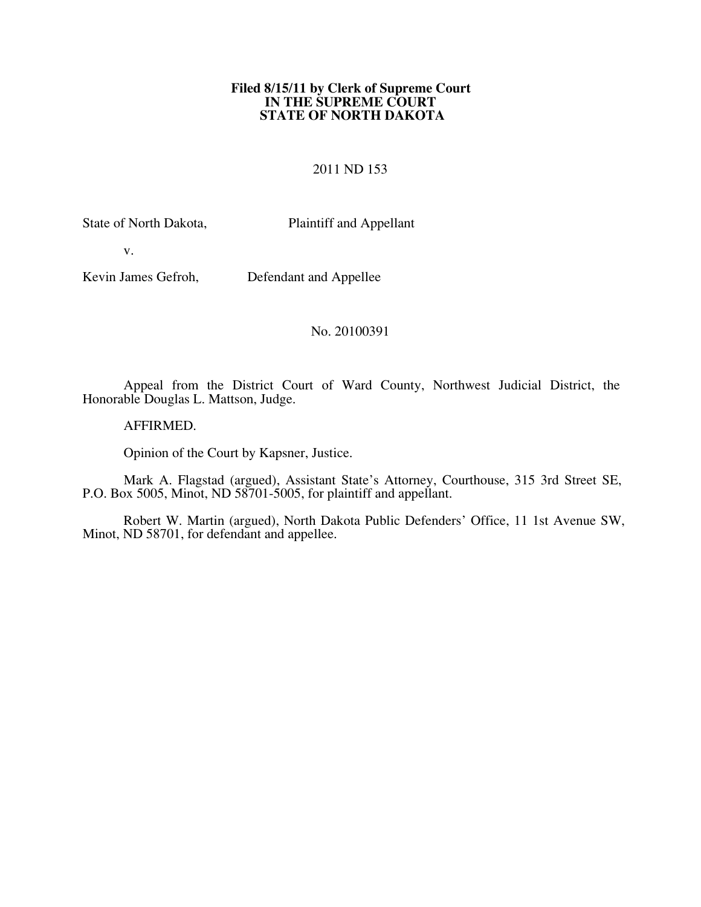#### **Filed 8/15/11 by Clerk of Supreme Court IN THE SUPREME COURT STATE OF NORTH DAKOTA**

#### 2011 ND 153

State of North Dakota, Plaintiff and Appellant

v.

Kevin James Gefroh, Defendant and Appellee

No. 20100391

Appeal from the District Court of Ward County, Northwest Judicial District, the Honorable Douglas L. Mattson, Judge.

AFFIRMED.

Opinion of the Court by Kapsner, Justice.

Mark A. Flagstad (argued), Assistant State's Attorney, Courthouse, 315 3rd Street SE, P.O. Box 5005, Minot, ND 58701-5005, for plaintiff and appellant.

Robert W. Martin (argued), North Dakota Public Defenders' Office, 11 1st Avenue SW, Minot, ND 58701, for defendant and appellee.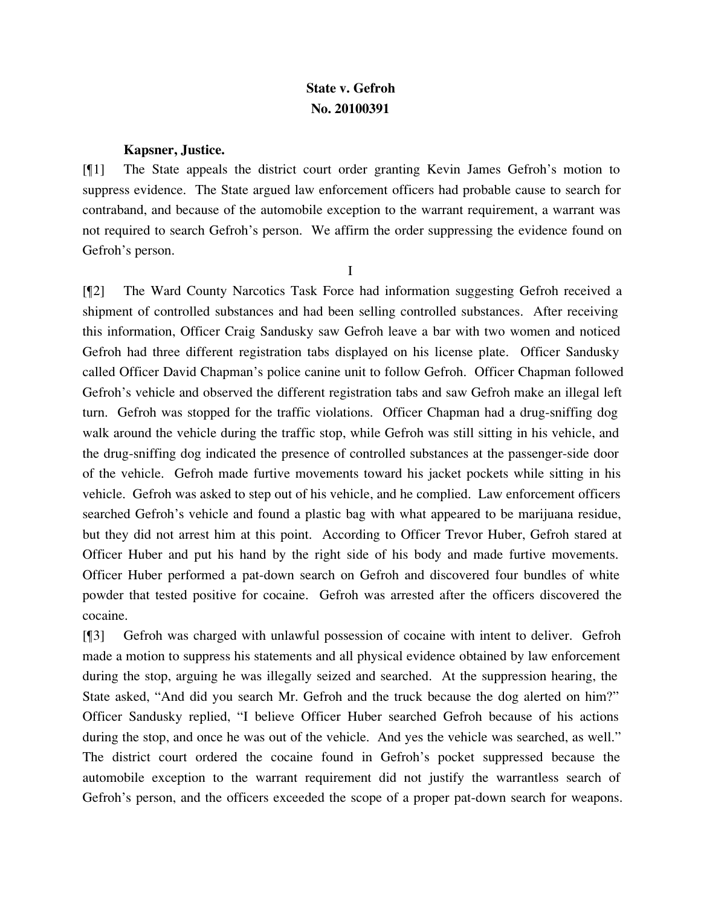# **State v. Gefroh No. 20100391**

### **Kapsner, Justice.**

[¶1] The State appeals the district court order granting Kevin James Gefroh's motion to suppress evidence. The State argued law enforcement officers had probable cause to search for contraband, and because of the automobile exception to the warrant requirement, a warrant was not required to search Gefroh's person. We affirm the order suppressing the evidence found on Gefroh's person.

I

[¶2] The Ward County Narcotics Task Force had information suggesting Gefroh received a shipment of controlled substances and had been selling controlled substances. After receiving this information, Officer Craig Sandusky saw Gefroh leave a bar with two women and noticed Gefroh had three different registration tabs displayed on his license plate. Officer Sandusky called Officer David Chapman's police canine unit to follow Gefroh. Officer Chapman followed Gefroh's vehicle and observed the different registration tabs and saw Gefroh make an illegal left turn. Gefroh was stopped for the traffic violations. Officer Chapman had a drug-sniffing dog walk around the vehicle during the traffic stop, while Gefroh was still sitting in his vehicle, and the drug-sniffing dog indicated the presence of controlled substances at the passenger-side door of the vehicle. Gefroh made furtive movements toward his jacket pockets while sitting in his vehicle. Gefroh was asked to step out of his vehicle, and he complied. Law enforcement officers searched Gefroh's vehicle and found a plastic bag with what appeared to be marijuana residue, but they did not arrest him at this point. According to Officer Trevor Huber, Gefroh stared at Officer Huber and put his hand by the right side of his body and made furtive movements. Officer Huber performed a pat-down search on Gefroh and discovered four bundles of white powder that tested positive for cocaine. Gefroh was arrested after the officers discovered the cocaine.

[¶3] Gefroh was charged with unlawful possession of cocaine with intent to deliver. Gefroh made a motion to suppress his statements and all physical evidence obtained by law enforcement during the stop, arguing he was illegally seized and searched. At the suppression hearing, the State asked, "And did you search Mr. Gefroh and the truck because the dog alerted on him?" Officer Sandusky replied, "I believe Officer Huber searched Gefroh because of his actions during the stop, and once he was out of the vehicle. And yes the vehicle was searched, as well." The district court ordered the cocaine found in Gefroh's pocket suppressed because the automobile exception to the warrant requirement did not justify the warrantless search of Gefroh's person, and the officers exceeded the scope of a proper pat-down search for weapons.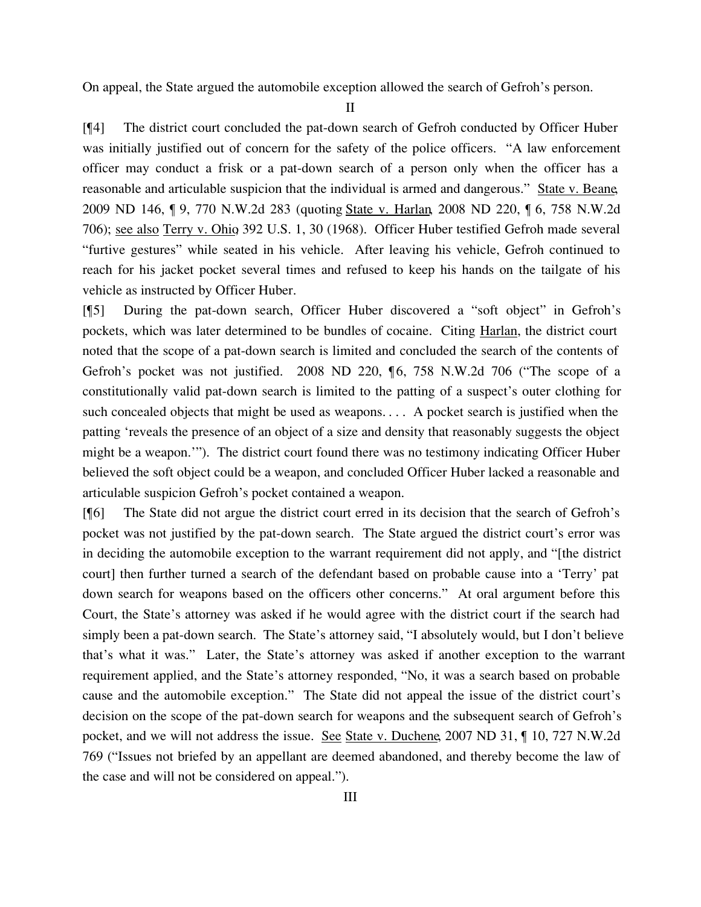On appeal, the State argued the automobile exception allowed the search of Gefroh's person.

II

[¶4] The district court concluded the pat-down search of Gefroh conducted by Officer Huber was initially justified out of concern for the safety of the police officers. "A law enforcement officer may conduct a frisk or a pat-down search of a person only when the officer has a reasonable and articulable suspicion that the individual is armed and dangerous." State v. Beane, 2009 ND 146, ¶ 9, 770 N.W.2d 283 (quoting State v. Harlan, 2008 ND 220, ¶ 6, 758 N.W.2d 706); see also Terry v. Ohio, 392 U.S. 1, 30 (1968). Officer Huber testified Gefroh made several "furtive gestures" while seated in his vehicle. After leaving his vehicle, Gefroh continued to reach for his jacket pocket several times and refused to keep his hands on the tailgate of his vehicle as instructed by Officer Huber.

[¶5] During the pat-down search, Officer Huber discovered a "soft object" in Gefroh's pockets, which was later determined to be bundles of cocaine. Citing Harlan, the district court noted that the scope of a pat-down search is limited and concluded the search of the contents of Gefroh's pocket was not justified. 2008 ND 220, ¶6, 758 N.W.2d 706 ("The scope of a constitutionally valid pat-down search is limited to the patting of a suspect's outer clothing for such concealed objects that might be used as weapons. . . . A pocket search is justified when the patting 'reveals the presence of an object of a size and density that reasonably suggests the object might be a weapon.'"). The district court found there was no testimony indicating Officer Huber believed the soft object could be a weapon, and concluded Officer Huber lacked a reasonable and articulable suspicion Gefroh's pocket contained a weapon.

[¶6] The State did not argue the district court erred in its decision that the search of Gefroh's pocket was not justified by the pat-down search. The State argued the district court's error was in deciding the automobile exception to the warrant requirement did not apply, and "[the district court] then further turned a search of the defendant based on probable cause into a 'Terry' pat down search for weapons based on the officers other concerns." At oral argument before this Court, the State's attorney was asked if he would agree with the district court if the search had simply been a pat-down search. The State's attorney said, "I absolutely would, but I don't believe that's what it was." Later, the State's attorney was asked if another exception to the warrant requirement applied, and the State's attorney responded, "No, it was a search based on probable cause and the automobile exception." The State did not appeal the issue of the district court's decision on the scope of the pat-down search for weapons and the subsequent search of Gefroh's pocket, and we will not address the issue. See State v. Duchene, 2007 ND 31, ¶ 10, 727 N.W.2d 769 ("Issues not briefed by an appellant are deemed abandoned, and thereby become the law of the case and will not be considered on appeal.").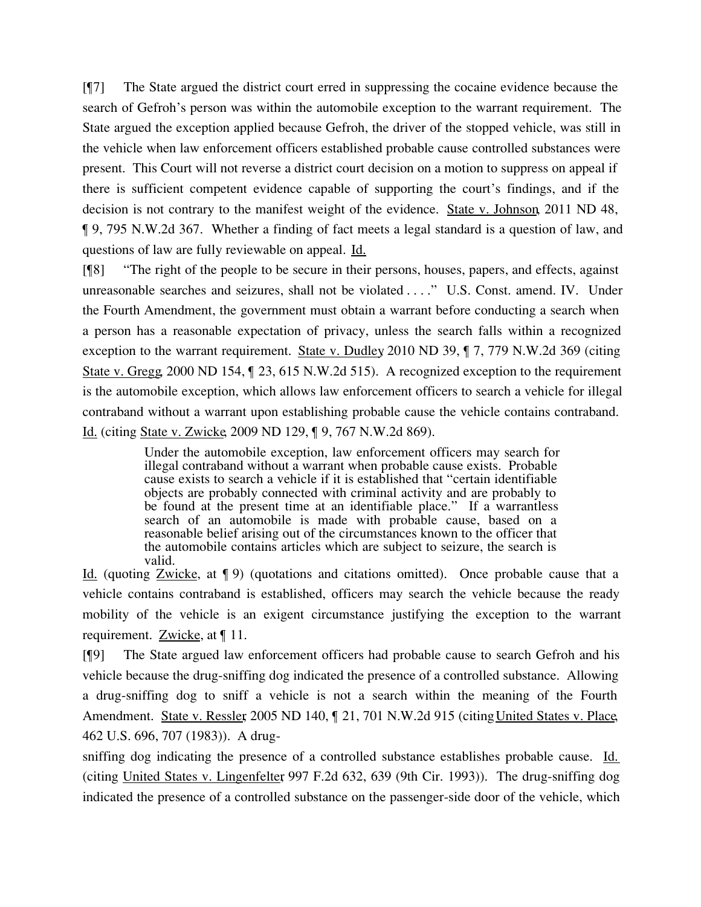[¶7] The State argued the district court erred in suppressing the cocaine evidence because the search of Gefroh's person was within the automobile exception to the warrant requirement. The State argued the exception applied because Gefroh, the driver of the stopped vehicle, was still in the vehicle when law enforcement officers established probable cause controlled substances were present. This Court will not reverse a district court decision on a motion to suppress on appeal if there is sufficient competent evidence capable of supporting the court's findings, and if the decision is not contrary to the manifest weight of the evidence. State v. Johnson, 2011 ND 48, ¶ 9, 795 N.W.2d 367. Whether a finding of fact meets a legal standard is a question of law, and questions of law are fully reviewable on appeal. Id.

[¶8] "The right of the people to be secure in their persons, houses, papers, and effects, against unreasonable searches and seizures, shall not be violated . . . ." U.S. Const. amend. IV. Under the Fourth Amendment, the government must obtain a warrant before conducting a search when a person has a reasonable expectation of privacy, unless the search falls within a recognized exception to the warrant requirement. State v. Dudley 2010 ND 39, ¶ 7, 779 N.W.2d 369 (citing State v. Gregg, 2000 ND 154, ¶ 23, 615 N.W.2d 515). A recognized exception to the requirement is the automobile exception, which allows law enforcement officers to search a vehicle for illegal contraband without a warrant upon establishing probable cause the vehicle contains contraband. Id. (citing State v. Zwicke, 2009 ND 129, ¶ 9, 767 N.W.2d 869).

> Under the automobile exception, law enforcement officers may search for illegal contraband without a warrant when probable cause exists. Probable cause exists to search a vehicle if it is established that "certain identifiable objects are probably connected with criminal activity and are probably to be found at the present time at an identifiable place." If a warrantless search of an automobile is made with probable cause, based on a reasonable belief arising out of the circumstances known to the officer that the automobile contains articles which are subject to seizure, the search is valid.

Id. (quoting Zwicke, at ¶ 9) (quotations and citations omitted). Once probable cause that a vehicle contains contraband is established, officers may search the vehicle because the ready mobility of the vehicle is an exigent circumstance justifying the exception to the warrant requirement. **Zwicke**, at [11.

[¶9] The State argued law enforcement officers had probable cause to search Gefroh and his vehicle because the drug-sniffing dog indicated the presence of a controlled substance. Allowing a drug-sniffing dog to sniff a vehicle is not a search within the meaning of the Fourth Amendment. State v. Ressler, 2005 ND 140,  $\parallel$  21, 701 N.W.2d 915 (citing United States v. Place, 462 U.S. 696, 707 (1983)). A drug-

sniffing dog indicating the presence of a controlled substance establishes probable cause. Id. (citing United States v. Lingenfelter, 997 F.2d 632, 639 (9th Cir. 1993)). The drug-sniffing dog indicated the presence of a controlled substance on the passenger-side door of the vehicle, which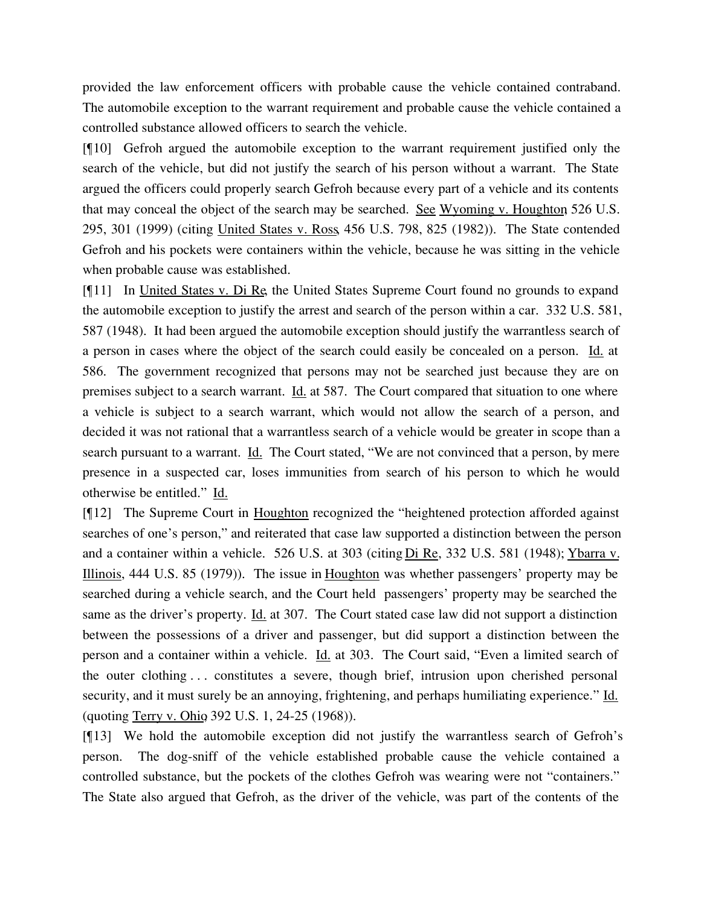provided the law enforcement officers with probable cause the vehicle contained contraband. The automobile exception to the warrant requirement and probable cause the vehicle contained a controlled substance allowed officers to search the vehicle.

[¶10] Gefroh argued the automobile exception to the warrant requirement justified only the search of the vehicle, but did not justify the search of his person without a warrant. The State argued the officers could properly search Gefroh because every part of a vehicle and its contents that may conceal the object of the search may be searched. See Wyoming v. Houghton, 526 U.S. 295, 301 (1999) (citing United States v. Ross, 456 U.S. 798, 825 (1982)). The State contended Gefroh and his pockets were containers within the vehicle, because he was sitting in the vehicle when probable cause was established.

[¶11] In United States v. Di Re, the United States Supreme Court found no grounds to expand the automobile exception to justify the arrest and search of the person within a car. 332 U.S. 581, 587 (1948). It had been argued the automobile exception should justify the warrantless search of a person in cases where the object of the search could easily be concealed on a person. Id. at 586. The government recognized that persons may not be searched just because they are on premises subject to a search warrant. Id. at 587. The Court compared that situation to one where a vehicle is subject to a search warrant, which would not allow the search of a person, and decided it was not rational that a warrantless search of a vehicle would be greater in scope than a search pursuant to a warrant. Id. The Court stated, "We are not convinced that a person, by mere presence in a suspected car, loses immunities from search of his person to which he would otherwise be entitled." Id.

[¶12] The Supreme Court in Houghton recognized the "heightened protection afforded against searches of one's person," and reiterated that case law supported a distinction between the person and a container within a vehicle. 526 U.S. at 303 (citing Di Re, 332 U.S. 581 (1948); Ybarra v. Illinois, 444 U.S. 85 (1979)). The issue in Houghton was whether passengers' property may be searched during a vehicle search, and the Court held passengers' property may be searched the same as the driver's property. Id. at 307. The Court stated case law did not support a distinction between the possessions of a driver and passenger, but did support a distinction between the person and a container within a vehicle. Id. at 303. The Court said, "Even a limited search of the outer clothing . . . constitutes a severe, though brief, intrusion upon cherished personal security, and it must surely be an annoying, frightening, and perhaps humiliating experience." Id. (quoting Terry v. Ohio, 392 U.S. 1, 24-25 (1968)).

[¶13] We hold the automobile exception did not justify the warrantless search of Gefroh's person. The dog-sniff of the vehicle established probable cause the vehicle contained a controlled substance, but the pockets of the clothes Gefroh was wearing were not "containers." The State also argued that Gefroh, as the driver of the vehicle, was part of the contents of the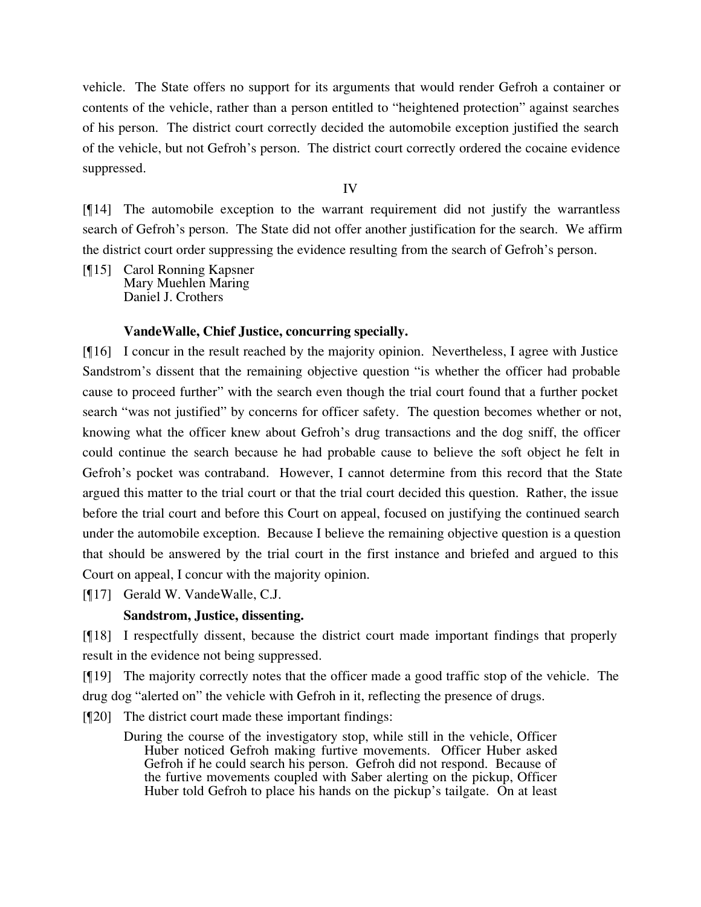vehicle. The State offers no support for its arguments that would render Gefroh a container or contents of the vehicle, rather than a person entitled to "heightened protection" against searches of his person. The district court correctly decided the automobile exception justified the search of the vehicle, but not Gefroh's person. The district court correctly ordered the cocaine evidence suppressed.

IV

[¶14] The automobile exception to the warrant requirement did not justify the warrantless search of Gefroh's person. The State did not offer another justification for the search. We affirm the district court order suppressing the evidence resulting from the search of Gefroh's person.

[¶15] Carol Ronning Kapsner Mary Muehlen Maring Daniel J. Crothers

## **VandeWalle, Chief Justice, concurring specially.**

[¶16] I concur in the result reached by the majority opinion. Nevertheless, I agree with Justice Sandstrom's dissent that the remaining objective question "is whether the officer had probable cause to proceed further" with the search even though the trial court found that a further pocket search "was not justified" by concerns for officer safety. The question becomes whether or not, knowing what the officer knew about Gefroh's drug transactions and the dog sniff, the officer could continue the search because he had probable cause to believe the soft object he felt in Gefroh's pocket was contraband. However, I cannot determine from this record that the State argued this matter to the trial court or that the trial court decided this question. Rather, the issue before the trial court and before this Court on appeal, focused on justifying the continued search under the automobile exception. Because I believe the remaining objective question is a question that should be answered by the trial court in the first instance and briefed and argued to this Court on appeal, I concur with the majority opinion.

[¶17] Gerald W. VandeWalle, C.J.

## **Sandstrom, Justice, dissenting.**

[¶18] I respectfully dissent, because the district court made important findings that properly result in the evidence not being suppressed.

[¶19] The majority correctly notes that the officer made a good traffic stop of the vehicle. The

drug dog "alerted on" the vehicle with Gefroh in it, reflecting the presence of drugs.

- [¶20] The district court made these important findings:
	- During the course of the investigatory stop, while still in the vehicle, Officer Huber noticed Gefroh making furtive movements. Officer Huber asked Gefroh if he could search his person. Gefroh did not respond. Because of the furtive movements coupled with Saber alerting on the pickup, Officer Huber told Gefroh to place his hands on the pickup's tailgate. On at least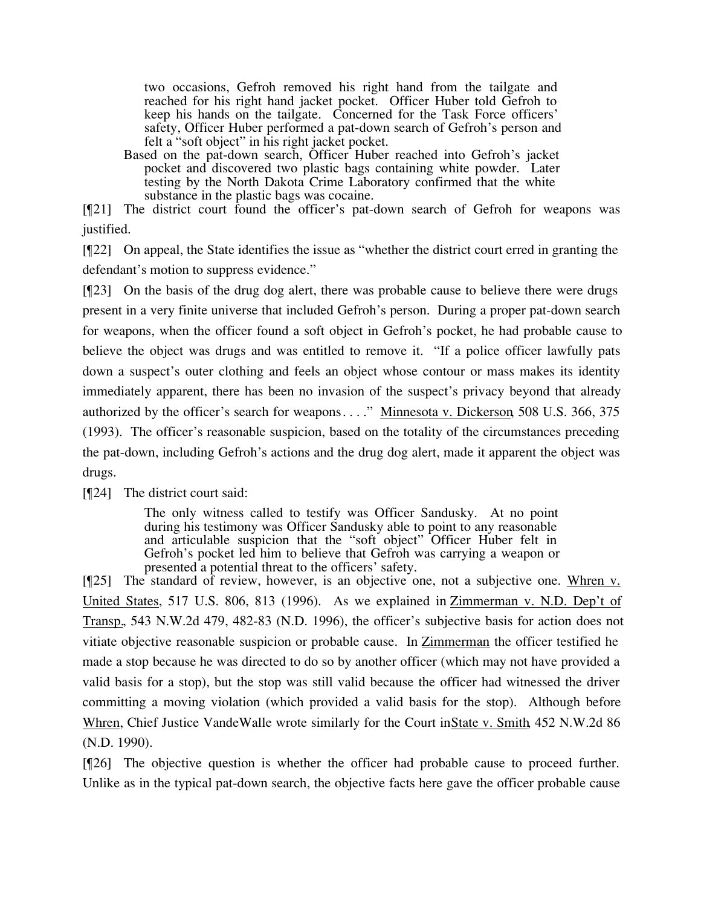two occasions, Gefroh removed his right hand from the tailgate and reached for his right hand jacket pocket. Officer Huber told Gefroh to keep his hands on the tailgate. Concerned for the Task Force officers' safety, Officer Huber performed a pat-down search of Gefroh's person and felt a "soft object" in his right jacket pocket.

Based on the pat-down search, Officer Huber reached into Gefroh's jacket pocket and discovered two plastic bags containing white powder. Later testing by the North Dakota Crime Laboratory confirmed that the white substance in the plastic bags was cocaine.

[¶21] The district court found the officer's pat-down search of Gefroh for weapons was justified.

[¶22] On appeal, the State identifies the issue as "whether the district court erred in granting the defendant's motion to suppress evidence."

[¶23] On the basis of the drug dog alert, there was probable cause to believe there were drugs present in a very finite universe that included Gefroh's person. During a proper pat-down search for weapons, when the officer found a soft object in Gefroh's pocket, he had probable cause to believe the object was drugs and was entitled to remove it. "If a police officer lawfully pats down a suspect's outer clothing and feels an object whose contour or mass makes its identity immediately apparent, there has been no invasion of the suspect's privacy beyond that already authorized by the officer's search for weapons...." Minnesota v. Dickerson, 508 U.S. 366, 375 (1993). The officer's reasonable suspicion, based on the totality of the circumstances preceding the pat-down, including Gefroh's actions and the drug dog alert, made it apparent the object was drugs.

[¶24] The district court said:

The only witness called to testify was Officer Sandusky. At no point during his testimony was Officer Sandusky able to point to any reasonable and articulable suspicion that the "soft object" Officer Huber felt in Gefroh's pocket led him to believe that Gefroh was carrying a weapon or presented a potential threat to the officers' safety.

[¶25] The standard of review, however, is an objective one, not a subjective one. Whren v. United States, 517 U.S. 806, 813 (1996). As we explained in Zimmerman v. N.D. Dep't of Transp., 543 N.W.2d 479, 482-83 (N.D. 1996), the officer's subjective basis for action does not vitiate objective reasonable suspicion or probable cause. In Zimmerman the officer testified he made a stop because he was directed to do so by another officer (which may not have provided a valid basis for a stop), but the stop was still valid because the officer had witnessed the driver committing a moving violation (which provided a valid basis for the stop). Although before Whren, Chief Justice VandeWalle wrote similarly for the Court in State v. Smith, 452 N.W.2d 86 (N.D. 1990).

[¶26] The objective question is whether the officer had probable cause to proceed further. Unlike as in the typical pat-down search, the objective facts here gave the officer probable cause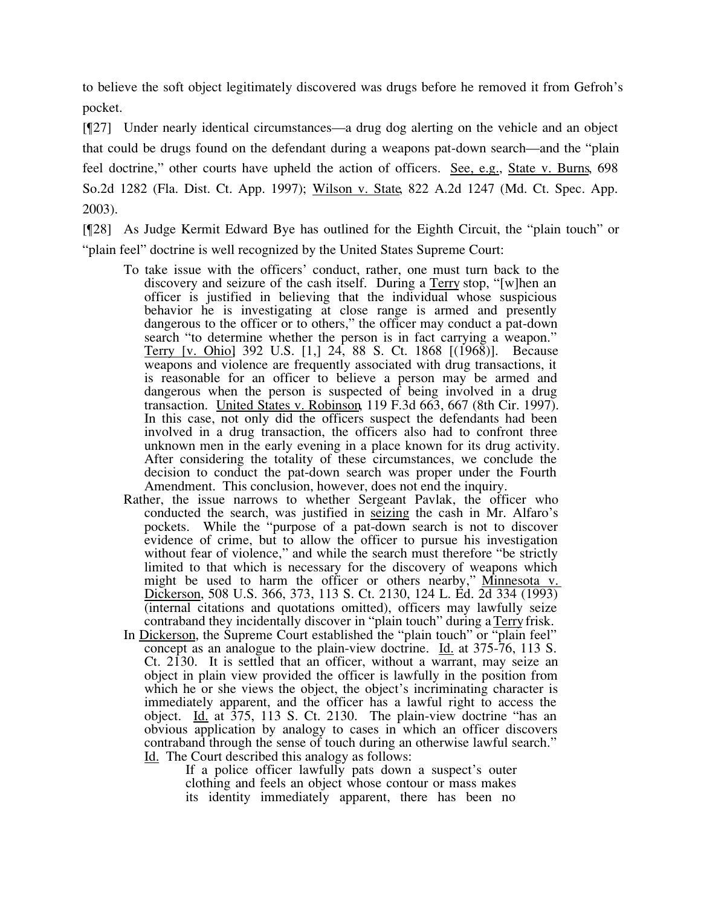to believe the soft object legitimately discovered was drugs before he removed it from Gefroh's pocket.

[¶27] Under nearly identical circumstances—a drug dog alerting on the vehicle and an object that could be drugs found on the defendant during a weapons pat-down search—and the "plain feel doctrine," other courts have upheld the action of officers. See, e.g., State v. Burns, 698 So.2d 1282 (Fla. Dist. Ct. App. 1997); Wilson v. State, 822 A.2d 1247 (Md. Ct. Spec. App. 2003).

[¶28] As Judge Kermit Edward Bye has outlined for the Eighth Circuit, the "plain touch" or "plain feel" doctrine is well recognized by the United States Supreme Court:

- To take issue with the officers' conduct, rather, one must turn back to the discovery and seizure of the cash itself. During a Terry stop, "[w]hen an officer is justified in believing that the individual whose suspicious behavior he is investigating at close range is armed and presently dangerous to the officer or to others," the officer may conduct a pat-down search "to determine whether the person is in fact carrying a weapon." Terry [v. Ohio], 392 U.S. [1,] 24, 88 S. Ct. 1868 [(1968)]. Because weapons and violence are frequently associated with drug transactions, it is reasonable for an officer to believe a person may be armed and dangerous when the person is suspected of being involved in a drug transaction. United States v. Robinson, 119 F.3d 663, 667 (8th Cir. 1997). In this case, not only did the officers suspect the defendants had been involved in a drug transaction, the officers also had to confront three unknown men in the early evening in a place known for its drug activity. After considering the totality of these circumstances, we conclude the decision to conduct the pat-down search was proper under the Fourth Amendment. This conclusion, however, does not end the inquiry.
- Rather, the issue narrows to whether Sergeant Pavlak, the officer who conducted the search, was justified in seizing the cash in Mr. Alfaro's pockets. While the "purpose of a pat-down search is not to discover evidence of crime, but to allow the officer to pursue his investigation without fear of violence," and while the search must therefore "be strictly limited to that which is necessary for the discovery of weapons which mined to that which is hecessary for the discovery of weapons when might be used to harm the officer or others nearby," Minnesota v. Dickerson, 508 U.S. 366, 373, 113 S. Ct. 2130, 124 L. Ed. 2d 334 (1993) (internal citations and quotations omitted), officers may lawfully seize contraband they incidentally discover in "plain touch" during a Terry frisk.
- In Dickerson, the Supreme Court established the "plain touch" or "plain feel" concept as an analogue to the plain-view doctrine. Id. at 375-76, 113 S. Ct. 2130. It is settled that an officer, without a warrant, may seize an object in plain view provided the officer is lawfully in the position from which he or she views the object, the object's incriminating character is immediately apparent, and the officer has a lawful right to access the object. Id. at 375, 113 S. Ct. 2130. The plain-view doctrine "has an obvious application by analogy to cases in which an officer discovers contraband through the sense of touch during an otherwise lawful search." Id. The Court described this analogy as follows:

If a police officer lawfully pats down a suspect's outer clothing and feels an object whose contour or mass makes its identity immediately apparent, there has been no